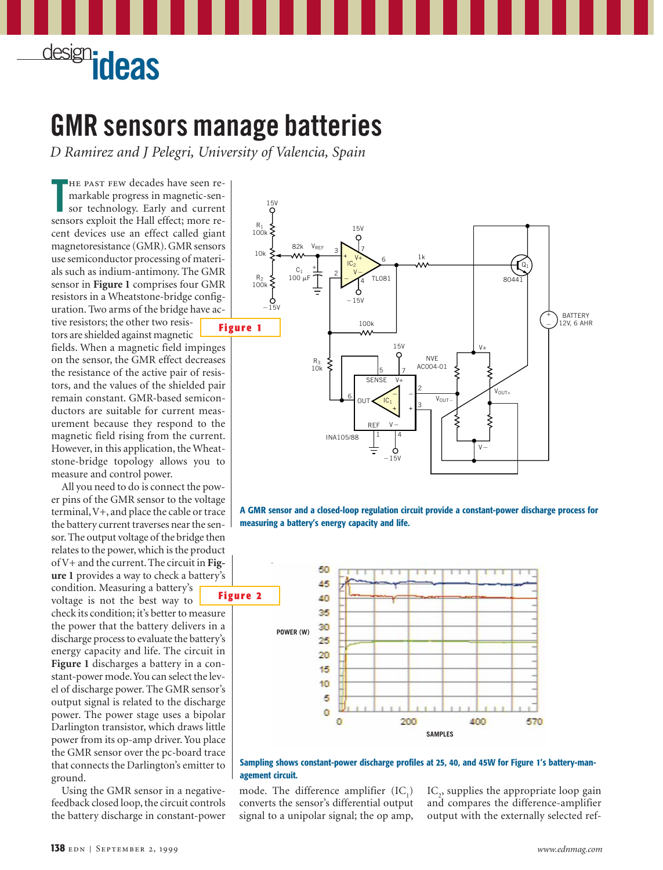

## **GMR sensors manage batteries**

*D Ramirez and J Pelegri, University of Valencia, Spain*

**T** he past few decades have seen remarkable progress in magnetic-sensor technology. Early and current sensors exploit the Hall effect; more recent devices use an effect called giant magnetoresistance (GMR). GMR sensors use semiconductor processing of materials such as indium-antimony. The GMR sensor in **Figure 1** comprises four GMR resistors in a Wheatstone-bridge configuration. Two arms of the bridge have active resistors; the other two resis-

tors are shielded against magnetic fields. When a magnetic field impinges on the sensor, the GMR effect decreases the resistance of the active pair of resistors, and the values of the shielded pair remain constant. GMR-based semiconductors are suitable for current measurement because they respond to the magnetic field rising from the current. However, in this application, the Wheatstone-bridge topology allows you to measure and control power.

All you need to do is connect the power pins of the GMR sensor to the voltage terminal,V+, and place the cable or trace the battery current traverses near the sensor. The output voltage of the bridge then relates to the power, which is the product of V+ and the current. The circuit in **Figure 1** provides a way to check a battery's condition. Measuring a battery's voltage is not the best way to check its condition; it's better to measure the power that the battery delivers in a discharge process to evaluate the battery's energy capacity and life. The circuit in **Figure 1** discharges a battery in a constant-power mode.You can select the level of discharge power. The GMR sensor's output signal is related to the discharge power. The power stage uses a bipolar Darlington transistor, which draws little power from its op-amp driver. You place the GMR sensor over the pc-board trace that connects the Darlington's emitter to ground.

Using the GMR sensor in a negativefeedback closed loop, the circuit controls the battery discharge in constant-power









mode. The difference amplifier  $(IC_1)$ converts the sensor's differential output signal to a unipolar signal; the op amp,

IC<sub>2</sub>, supplies the appropriate loop gain and compares the difference-amplifier output with the externally selected ref